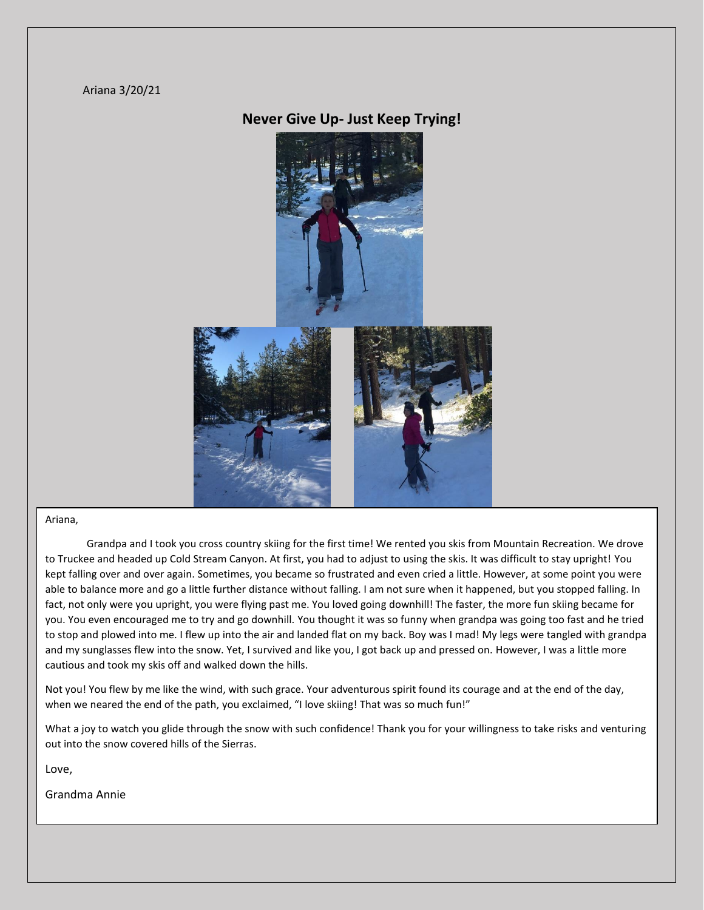#### Ariana 3/20/21

# **Never Give Up- Just Keep Trying!**



#### Ariana,

Grandpa and I took you cross country skiing for the first time! We rented you skis from Mountain Recreation. We drove to Truckee and headed up Cold Stream Canyon. At first, you had to adjust to using the skis. It was difficult to stay upright! You kept falling over and over again. Sometimes, you became so frustrated and even cried a little. However, at some point you were able to balance more and go a little further distance without falling. I am not sure when it happened, but you stopped falling. In fact, not only were you upright, you were flying past me. You loved going downhill! The faster, the more fun skiing became for you. You even encouraged me to try and go downhill. You thought it was so funny when grandpa was going too fast and he tried to stop and plowed into me. I flew up into the air and landed flat on my back. Boy was I mad! My legs were tangled with grandpa and my sunglasses flew into the snow. Yet, I survived and like you, I got back up and pressed on. However, I was a little more cautious and took my skis off and walked down the hills.

Not you! You flew by me like the wind, with such grace. Your adventurous spirit found its courage and at the end of the day, when we neared the end of the path, you exclaimed, "I love skiing! That was so much fun!"

What a joy to watch you glide through the snow with such confidence! Thank you for your willingness to take risks and venturing out into the snow covered hills of the Sierras.

Love,

Grandma Annie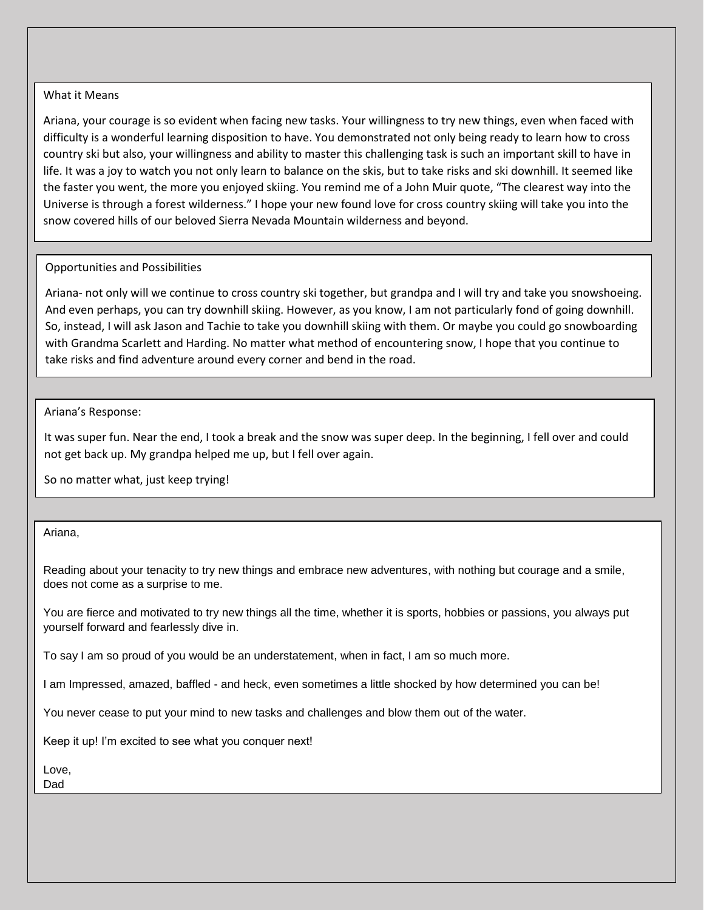### What it Means

Ariana, your courage is so evident when facing new tasks. Your willingness to try new things, even when faced with difficulty is a wonderful learning disposition to have. You demonstrated not only being ready to learn how to cross country ski but also, your willingness and ability to master this challenging task is such an important skill to have in life. It was a joy to watch you not only learn to balance on the skis, but to take risks and ski downhill. It seemed like the faster you went, the more you enjoyed skiing. You remind me of a John Muir quote, "The clearest way into the Universe is through a forest wilderness." I hope your new found love for cross country skiing will take you into the snow covered hills of our beloved Sierra Nevada Mountain wilderness and beyond.

### Opportunities and Possibilities

Ariana- not only will we continue to cross country ski together, but grandpa and I will try and take you snowshoeing. And even perhaps, you can try downhill skiing. However, as you know, I am not particularly fond of going downhill. So, instead, I will ask Jason and Tachie to take you downhill skiing with them. Or maybe you could go snowboarding with Grandma Scarlett and Harding. No matter what method of encountering snow, I hope that you continue to take risks and find adventure around every corner and bend in the road.

### Ariana's Response:

It was super fun. Near the end, I took a break and the snow was super deep. In the beginning, I fell over and could not get back up. My grandpa helped me up, but I fell over again.

So no matter what, just keep trying!

Ariana,

Reading about your tenacity to try new things and embrace new adventures, with nothing but courage and a smile, does not come as a surprise to me.

You are fierce and motivated to try new things all the time, whether it is sports, hobbies or passions, you always put yourself forward and fearlessly dive in.

To say I am so proud of you would be an understatement, when in fact, I am so much more.

I am Impressed, amazed, baffled - and heck, even sometimes a little shocked by how determined you can be!

You never cease to put your mind to new tasks and challenges and blow them out of the water.

Keep it up! I'm excited to see what you conquer next!

Love, Dad